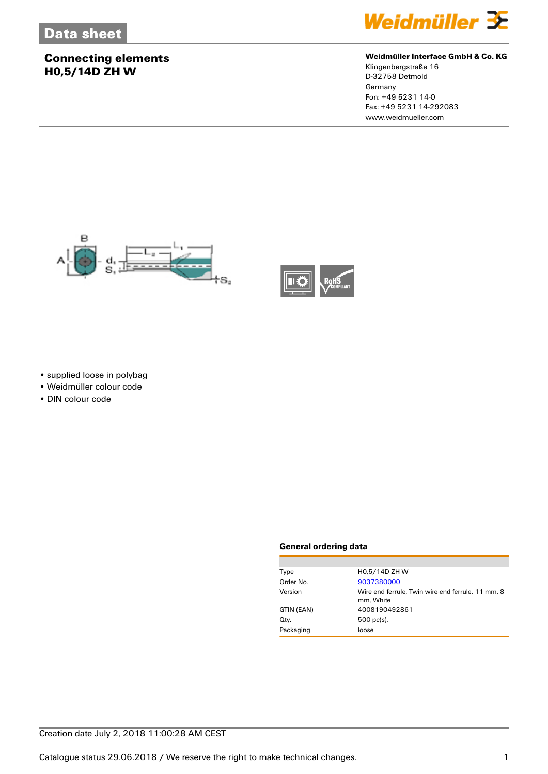### **Connecting elements H0,5/14D ZH W**



#### **Weidmüller Interface GmbH & Co. KG**

Klingenbergstraße 16 D-32758 Detmold Germany Fon: +49 5231 14-0 Fax: +49 5231 14-292083 www.weidmueller.com





• supplied loose in polybag

• Weidmüller colour code

• DIN colour code

#### **General ordering data**

| H0,5/14D ZH W                                                  |
|----------------------------------------------------------------|
| 9037380000                                                     |
| Wire end ferrule, Twin wire-end ferrule, 11 mm, 8<br>mm. White |
| 4008190492861                                                  |
| $500$ pc(s).                                                   |
| loose                                                          |
|                                                                |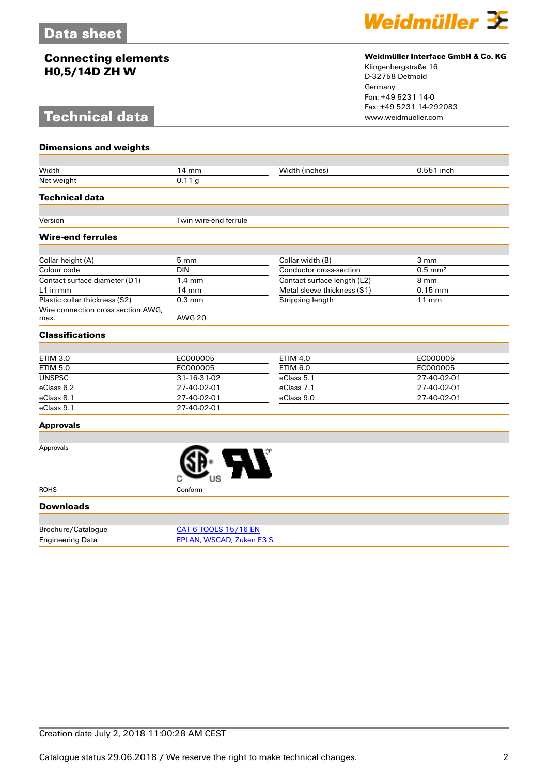### **Connecting elements H0,5/14D ZH W**

# **Technical data**



#### **Weidmüller Interface GmbH & Co. KG**

Klingenbergstraße 16 D-32758 Detmold Germany Fon: +49 5231 14-0 Fax: +49 5231 14-292083

| <b>Dimensions and weights</b>              |                                 |                             |                       |
|--------------------------------------------|---------------------------------|-----------------------------|-----------------------|
|                                            |                                 |                             |                       |
| Width                                      | 14 mm                           | Width (inches)              | 0.551 inch            |
| Net weight                                 | 0.11 <sub>g</sub>               |                             |                       |
| <b>Technical data</b>                      |                                 |                             |                       |
| Version                                    | Twin wire-end ferrule           |                             |                       |
|                                            |                                 |                             |                       |
| <b>Wire-end ferrules</b>                   |                                 |                             |                       |
|                                            |                                 |                             |                       |
| Collar height (A)                          | 5 mm                            | Collar width (B)            | 3 mm                  |
| Colour code                                | <b>DIN</b>                      | Conductor cross-section     | $0.5$ mm <sup>2</sup> |
| Contact surface diameter (D1)              | $1.4 \text{ mm}$                | Contact surface length (L2) | 8 mm                  |
| $L1$ in mm                                 | 14 mm                           | Metal sleeve thickness (S1) | $0.15$ mm             |
| Plastic collar thickness (S2)              | $0.3$ mm                        | Stripping length            | $11$ mm               |
| Wire connection cross section AWG,<br>max. | <b>AWG 20</b>                   |                             |                       |
| <b>Classifications</b>                     |                                 |                             |                       |
|                                            |                                 |                             |                       |
| <b>ETIM 3.0</b>                            | EC000005                        | <b>ETIM 4.0</b>             | EC000005              |
| <b>ETIM 5.0</b>                            | EC000005                        | <b>ETIM 6.0</b>             | EC000005              |
| <b>UNSPSC</b>                              | 31-16-31-02                     | eClass 5.1                  | 27-40-02-01           |
| eClass 6.2                                 | 27-40-02-01                     | eClass 7.1                  | 27-40-02-01           |
| eClass 8.1                                 | 27-40-02-01                     | eClass 9.0                  | 27-40-02-01           |
| eClass 9.1                                 | 27-40-02-01                     |                             |                       |
| <b>Approvals</b>                           |                                 |                             |                       |
|                                            |                                 |                             |                       |
| Approvals                                  |                                 |                             |                       |
| <b>ROHS</b>                                | Conform                         |                             |                       |
| <b>Downloads</b>                           |                                 |                             |                       |
|                                            |                                 |                             |                       |
| Brochure/Catalogue                         | <b>CAT 6 TOOLS 15/16 EN</b>     |                             |                       |
| <b>Engineering Data</b>                    | <b>EPLAN, WSCAD, Zuken E3.S</b> |                             |                       |